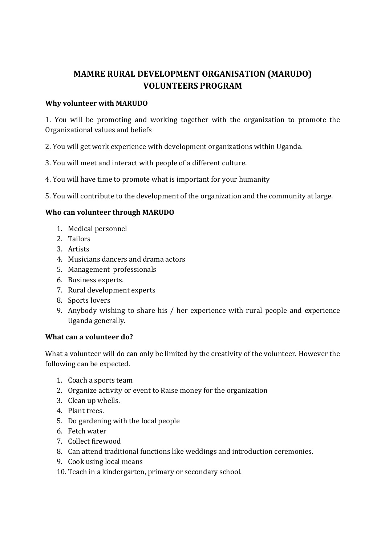# **MAMRE RURAL DEVELOPMENT ORGANISATION (MARUDO) VOLUNTEERS PROGRAM**

## **Why volunteer with MARUDO**

1. You will be promoting and working together with the organization to promote the Organizational values and beliefs

- 2. You will get work experience with development organizations within Uganda.
- 3. You will meet and interact with people of a different culture.
- 4. You will have time to promote what is important for your humanity
- 5. You will contribute to the development of the organization and the community at large.

## **Who can volunteer through MARUDO**

- 1. Medical personnel
- 2. Tailors
- 3. Artists
- 4. Musicians dancers and drama actors
- 5. Management professionals
- 6. Business experts.
- 7. Rural development experts
- 8. Sports lovers
- 9. Anybody wishing to share his / her experience with rural people and experience Uganda generally.

## **What can a volunteer do?**

What a volunteer will do can only be limited by the creativity of the volunteer. However the following can be expected.

- 1. Coach a sports team
- 2. Organize activity or event to Raise money for the organization
- 3. Clean up whells.
- 4. Plant trees.
- 5. Do gardening with the local people
- 6. Fetch water
- 7. Collect firewood
- 8. Can attend traditional functions like weddings and introduction ceremonies.
- 9. Cook using local means
- 10. Teach in a kindergarten, primary or secondary school.